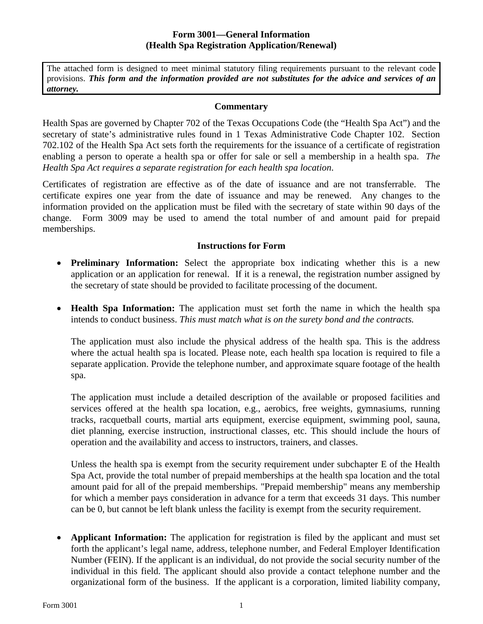### **Form 3001—General Information (Health Spa Registration Application/Renewal)**

The attached form is designed to meet minimal statutory filing requirements pursuant to the relevant code provisions. *This form and the information provided are not substitutes for the advice and services of an attorney.*

#### **Commentary**

Health Spas are governed by Chapter 702 of the Texas Occupations Code (the "Health Spa Act") and the secretary of state's administrative rules found in 1 Texas Administrative Code Chapter 102. Section 702.102 of the Health Spa Act sets forth the requirements for the issuance of a certificate of registration enabling a person to operate a health spa or offer for sale or sell a membership in a health spa. *The Health Spa Act requires a separate registration for each health spa location*.

Certificates of registration are effective as of the date of issuance and are not transferrable. The certificate expires one year from the date of issuance and may be renewed. Any changes to the information provided on the application must be filed with the secretary of state within 90 days of the change. Form 3009 may be used to amend the total number of and amount paid for prepaid memberships.

#### **Instructions for Form**

- **Preliminary Information:** Select the appropriate box indicating whether this is a new application or an application for renewal. If it is a renewal, the registration number assigned by the secretary of state should be provided to facilitate processing of the document.
- **Health Spa Information:** The application must set forth the name in which the health spa intends to conduct business. *This must match what is on the surety bond and the contracts.*

The application must also include the physical address of the health spa. This is the address where the actual health spa is located. Please note, each health spa location is required to file a separate application. Provide the telephone number, and approximate square footage of the health spa.

The application must include a detailed description of the available or proposed facilities and services offered at the health spa location, e.g., aerobics, free weights, gymnasiums, running tracks, racquetball courts, martial arts equipment, exercise equipment, swimming pool, sauna, diet planning, exercise instruction, instructional classes, etc. This should include the hours of operation and the availability and access to instructors, trainers, and classes.

Unless the health spa is exempt from the security requirement under subchapter E of the Health Spa Act, provide the total number of prepaid memberships at the health spa location and the total amount paid for all of the prepaid memberships. "Prepaid membership" means any membership for which a member pays consideration in advance for a term that exceeds 31 days. This number can be 0, but cannot be left blank unless the facility is exempt from the security requirement.

• **Applicant Information:** The application for registration is filed by the applicant and must set forth the applicant's legal name, address, telephone number, and Federal Employer Identification Number (FEIN). If the applicant is an individual, do not provide the social security number of the individual in this field. The applicant should also provide a contact telephone number and the organizational form of the business. If the applicant is a corporation, limited liability company,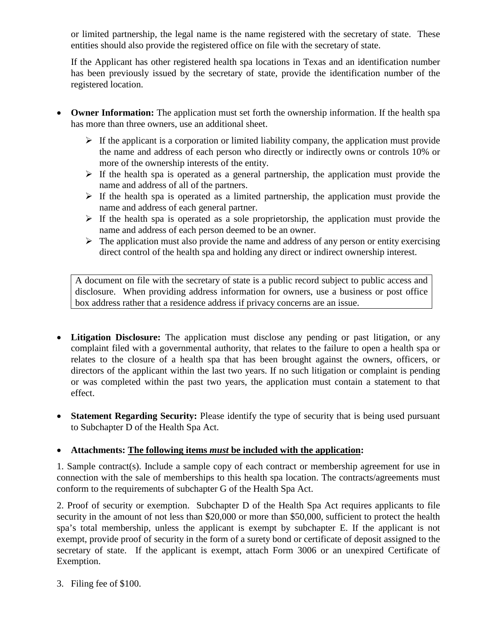or limited partnership, the legal name is the name registered with the secretary of state. These entities should also provide the registered office on file with the secretary of state.

If the Applicant has other registered health spa locations in Texas and an identification number has been previously issued by the secretary of state, provide the identification number of the registered location.

- **Owner Information:** The application must set forth the ownership information. If the health spa has more than three owners, use an additional sheet.
	- $\triangleright$  If the applicant is a corporation or limited liability company, the application must provide the name and address of each person who directly or indirectly owns or controls 10% or more of the ownership interests of the entity.
	- $\triangleright$  If the health spa is operated as a general partnership, the application must provide the name and address of all of the partners.
	- $\triangleright$  If the health spa is operated as a limited partnership, the application must provide the name and address of each general partner.
	- $\triangleright$  If the health spa is operated as a sole proprietorship, the application must provide the name and address of each person deemed to be an owner.
	- $\triangleright$  The application must also provide the name and address of any person or entity exercising direct control of the health spa and holding any direct or indirect ownership interest.

A document on file with the secretary of state is a public record subject to public access and disclosure. When providing address information for owners, use a business or post office box address rather that a residence address if privacy concerns are an issue.

- **Litigation Disclosure:** The application must disclose any pending or past litigation, or any complaint filed with a governmental authority, that relates to the failure to open a health spa or relates to the closure of a health spa that has been brought against the owners, officers, or directors of the applicant within the last two years. If no such litigation or complaint is pending or was completed within the past two years, the application must contain a statement to that effect.
- **Statement Regarding Security:** Please identify the type of security that is being used pursuant to Subchapter D of the Health Spa Act.

### • **Attachments: The following items** *must* **be included with the application:**

1. Sample contract(s). Include a sample copy of each contract or membership agreement for use in connection with the sale of memberships to this health spa location. The contracts/agreements must conform to the requirements of subchapter G of the Health Spa Act.

2. Proof of security or exemption. Subchapter D of the Health Spa Act requires applicants to file security in the amount of not less than \$20,000 or more than \$50,000, sufficient to protect the health spa's total membership, unless the applicant is exempt by subchapter E. If the applicant is not exempt, provide proof of security in the form of a surety bond or certificate of deposit assigned to the secretary of state. If the applicant is exempt, attach Form 3006 or an unexpired Certificate of Exemption.

3. Filing fee of \$100.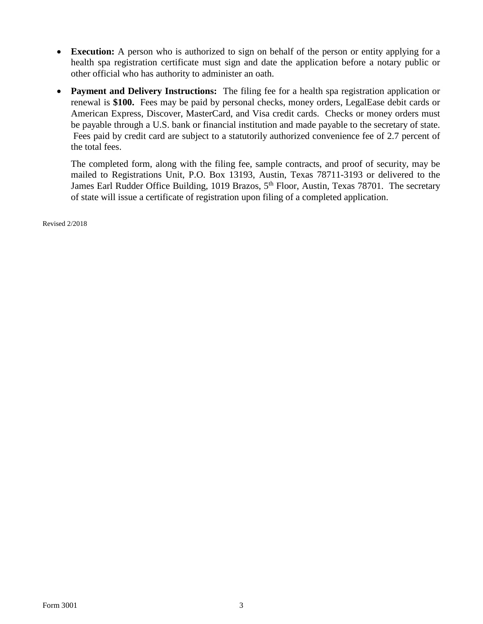- **Execution:** A person who is authorized to sign on behalf of the person or entity applying for a health spa registration certificate must sign and date the application before a notary public or other official who has authority to administer an oath.
- **Payment and Delivery Instructions:** The filing fee for a health spa registration application or renewal is **\$100.** Fees may be paid by personal checks, money orders, LegalEase debit cards or American Express, Discover, MasterCard, and Visa credit cards. Checks or money orders must be payable through a U.S. bank or financial institution and made payable to the secretary of state. Fees paid by credit card are subject to a statutorily authorized convenience fee of 2.7 percent of the total fees.

The completed form, along with the filing fee, sample contracts, and proof of security, may be mailed to Registrations Unit, P.O. Box 13193, Austin, Texas 78711-3193 or delivered to the James Earl Rudder Office Building, 1019 Brazos, 5<sup>th</sup> Floor, Austin, Texas 78701. The secretary of state will issue a certificate of registration upon filing of a completed application.

Revised 2/2018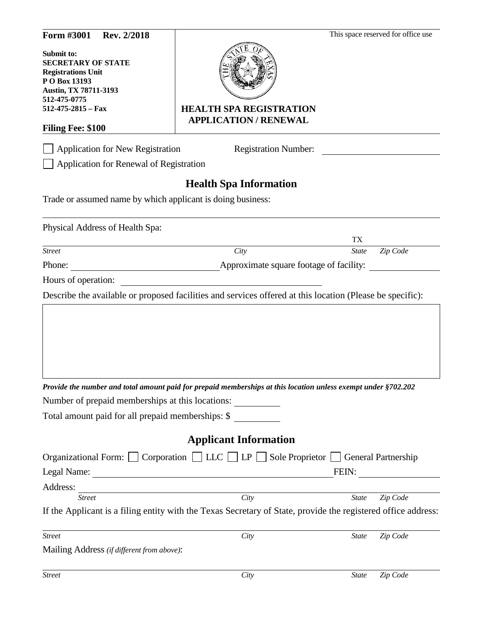| Form #3001<br>Rev. 2/2018                                                                                                                                         |                                                                                                                |              | This space reserved for office use |
|-------------------------------------------------------------------------------------------------------------------------------------------------------------------|----------------------------------------------------------------------------------------------------------------|--------------|------------------------------------|
| Submit to:<br><b>SECRETARY OF STATE</b><br><b>Registrations Unit</b><br>P O Box 13193<br>Austin, TX 78711-3193<br>512-475-0775                                    |                                                                                                                |              |                                    |
| $512-475-2815$ – Fax                                                                                                                                              | <b>HEALTH SPA REGISTRATION</b>                                                                                 |              |                                    |
| <b>Filing Fee: \$100</b>                                                                                                                                          | <b>APPLICATION / RENEWAL</b>                                                                                   |              |                                    |
| <b>Application for New Registration</b><br>Application for Renewal of Registration                                                                                | <b>Registration Number:</b>                                                                                    |              |                                    |
|                                                                                                                                                                   | <b>Health Spa Information</b>                                                                                  |              |                                    |
| Trade or assumed name by which applicant is doing business:                                                                                                       |                                                                                                                |              |                                    |
| Physical Address of Health Spa:                                                                                                                                   |                                                                                                                |              |                                    |
|                                                                                                                                                                   |                                                                                                                | TX           |                                    |
| <b>Street</b>                                                                                                                                                     | City                                                                                                           | <b>State</b> | Zip Code                           |
|                                                                                                                                                                   |                                                                                                                |              |                                    |
|                                                                                                                                                                   | Approximate square footage of facility:                                                                        |              |                                    |
|                                                                                                                                                                   | Describe the available or proposed facilities and services offered at this location (Please be specific):      |              |                                    |
|                                                                                                                                                                   |                                                                                                                |              |                                    |
|                                                                                                                                                                   | Provide the number and total amount paid for prepaid memberships at this location unless exempt under §702.202 |              |                                    |
|                                                                                                                                                                   |                                                                                                                |              |                                    |
|                                                                                                                                                                   | <b>Applicant Information</b>                                                                                   |              |                                    |
|                                                                                                                                                                   |                                                                                                                |              |                                    |
|                                                                                                                                                                   | Organizational Form: Corporation LLC LP Sole Proprietor General Partnership                                    | FEIN:        |                                    |
| Phone:<br>Hours of operation:<br>Number of prepaid memberships at this locations:<br>Total amount paid for all prepaid memberships: \$<br>Legal Name:<br>Address: | <u> 1980 - Johann Barnett, fransk politik (d. 1980)</u>                                                        |              |                                    |
| <b>Street</b>                                                                                                                                                     | <u> 1980 - Johann Barnett, fransk politik (f. 1980)</u><br>City                                                | <b>State</b> | Zip Code                           |
|                                                                                                                                                                   | If the Applicant is a filing entity with the Texas Secretary of State, provide the registered office address:  |              |                                    |
| <b>Street</b>                                                                                                                                                     | City                                                                                                           | <b>State</b> | Zip Code                           |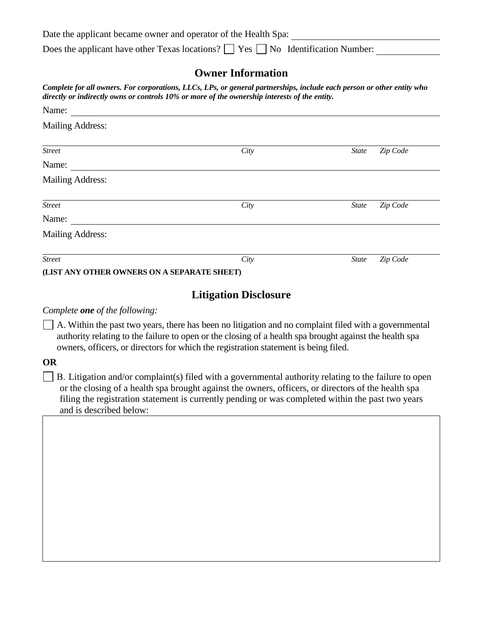Date the applicant became owner and operator of the Health Spa:

Does the applicant have other Texas locations?  $\Box$  Yes  $\Box$  No Identification Number:

# **Owner Information**

*Complete for all owners. For corporations, LLCs, LPs, or general partnerships, include each person or other entity who directly or indirectly owns or controls 10% or more of the ownership interests of the entity.*

| Name:                                       |      |              |          |
|---------------------------------------------|------|--------------|----------|
| <b>Mailing Address:</b>                     |      |              |          |
| <b>Street</b>                               | City | State        | Zip Code |
| Name:                                       |      |              |          |
| <b>Mailing Address:</b>                     |      |              |          |
| <b>Street</b>                               | City | <b>State</b> | Zip Code |
| Name:                                       |      |              |          |
| <b>Mailing Address:</b>                     |      |              |          |
| <b>Street</b>                               | City | State        | Zip Code |
| (LIST ANY OTHER OWNERS ON A SEPARATE SHEET) |      |              |          |

# **Litigation Disclosure**

#### *Complete one of the following:*

A. Within the past two years, there has been no litigation and no complaint filed with a governmental authority relating to the failure to open or the closing of a health spa brought against the health spa owners, officers, or directors for which the registration statement is being filed.

### **OR**

 $\Box$  B. Litigation and/or complaint(s) filed with a governmental authority relating to the failure to open or the closing of a health spa brought against the owners, officers, or directors of the health spa filing the registration statement is currently pending or was completed within the past two years and is described below: